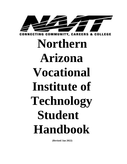

**Northern Arizona Vocational Institute of Technology Student Handbook**

**(Revised Jan 2022)**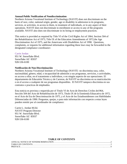#### **Annual Public Notification of Nondiscrimination**

Northern Arizona Vocational Institute of Technology (NAVIT) does not discriminate on the basis of race, color, national origin, gender, age or disability in admission to its programs, services, or activities, in access to them, in treatment of individuals, or in any aspect of their operations. NAVIT does not discriminate in enrollment or access to any of the programs available. NAVIT also does not discriminate in its hiring or employment practices.

This notice is provided as required by Title VI of the Civil Rights Act of 1964, Section 504 of the Rehabilitation Act of 1973, Title IX of the Education Amendments of 1972,the Age Discrimination Act of 1975, and the Americans with Disabilities Act of 1990. Questions, complaints, or requests for additional information regarding these laws may be forwarded to the designated compliance coordinator**:**

#### Carrie Jordan

951 W. Snowflake Blvd. Snowflake AZ 85937 928-536-6100

#### **Notificación de Non Discriminación**

Northern Arizona Vocational Institute of Technology (NAVIT) no discrimina raza, color, nacionalidad, género, edad, o incapacidad de admisión a sus programas, servicios, o actividades, en acceso a ellas, en el tratamiento a individuos, o en ningún aspecto de sus operaciones. El departamento de Educatión Técnica y de Carreras, de NAVIT no discrimina en su matriculación o en el acceso a cualquier de sus programas disponibles. El NAVIT tampoco discrimina en sus contratos o practicas de empleados.

Esta noticia es provista y requerida por el Titulo VI de Acto de Derechos Civiles de1964, Sección 504 del Acto de Rehabilitación de 1973, Titulo IX de la Enmienda Eduacativa de 1972, en el Acto de Era de Descriminación de 1975, y el Acto de los Estadounidenses con Habilidades Diferenciadas de 1990. Preguntas, quejas, o para más información con respecto a estas leyes pueden remitir por al coordinador de compliance:

Carrie L. Jordan M.Ed. NAVIT Program Director 951 W. Snowflake Blvd. Snowflake AZ 85937 928-536-6100

#### **TABLE OF CONTENTS**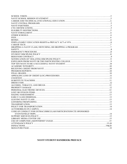| CODE OF CONDUCT FOR EXTRACURRICULAR PARTICIPATION/CTE SPONSORED |  |
|-----------------------------------------------------------------|--|
|                                                                 |  |
|                                                                 |  |
|                                                                 |  |
|                                                                 |  |
|                                                                 |  |
|                                                                 |  |
|                                                                 |  |
|                                                                 |  |

# **NAVIT STUDENT HANDBOOK PREFACE**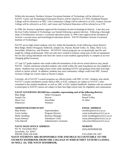Within this document, Northern Arizona Vocational Institute of Technology will be referred to as NAVIT, Career and Technological Education District will be referred to as CTED, Northland Pioneer College will be referred to as NPC, Gila Community College will be referred to as EAC, Eastern Arizona College will be referred to as EAC; and Career and Technical Education will be referred to as CTE.

In 1990, the Arizona Legislature approved the formation of joint technological districts. Later that year the East Valley Institute of Technology was formed following a general election. Following a thorough study of Northeastern Arizona's vocational education needs, in 1998 voters approved the formation of Arizona's second career and technological education district: NAVIT (Northern Arizona Vocational Institute of Technology).

NAVIT serves high school students who live within the boundaries of the following school districts: Blue Ridge, Heber-Overgaard, Holbrook, Joseph City, Payson, Round Valley, St. Johns, Show Low, Snowflake, Whiteriver, and Winslow. All NAVIT central programs are occupationally specific and taught by college professionals. Who not only have worked in industry using state-of-the-art equipment, but are also caring individuals who have the vision to train students appropriately to compete in an everchanging global economy.

11<sup>th</sup> and 12<sup>th</sup> grade students who reside within the boundaries of the eleven school districts may attend NAVIT. Charter and home-schooled students who reside within the same boundaries are also eligible to attend. Students may earn high school credit while attending NAVIT and graduate from their host high school or charter school. In addition, students may earn community college credit from NPC, Eastern Arizona College for courses taken at Payson Campus.

Currently, all of NAVIT's central programs are offered jointly with NPC or EAC. Students who attend NAVIT's central enrollment courses held at NPC or EAC campuses are subject to NAVIT's rules contained in this student handbook, as well as, NPC or EAC student handbook. Students who are selected to participate in NAVIT courses are subject to their host high school rules for eligibility and continuation.

#### **NAVIT GOVERNING BOARD has a member representing each of the following districts:**

| Blue Ridge  | Heber-Overgaard | <b>Holbrook</b> |
|-------------|-----------------|-----------------|
| Joseph City | Payson          | Round Valley    |
| Show Low    | Snowflake       | St Johns        |
| Whiteriver  | Winslow         |                 |
|             |                 |                 |

#### **ADMINISTRATORS/STAFF EMAIL ADDRESS**

Matt Weber Superintendent mweber@navit.k12.az.us Carrie Jordan Program Director carrie.jordan@navit.k12.az.us Molly Stradling Business Manager molly.stradling@navit.k12.az.us Susan Johnson **Attendance Clerk** susan.johnson @navit.k12.az.us Celia Merrell Administrative Assistant celia.merrell@navit.k12.az.us

#### **NAVIT MAIN OFFICE ADDRESS WEBSITE**

951 W. Snowflake Blvd. [www.navitschool.org](http://www.navitschool.org/) Snowflake, AZ 85937

PHONE (928) 536-6100 FAX (928) 536-7287 **NAVIT STUDENTS ARE RESPONSIBLE FOR AND HELD ACCOUNTABLE TO THE STUDENT HANDBOOK FROM THE COLLEGE IN WHICH THEY ATTEND CLASSES, AS WELL AS, THE NAVIT HANDBOOK.**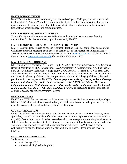# **NAVIT SCHOOL VISION**

NAVIT's vision is to connect community, careers, and college. NAVIT programs strive to include teaching all CTE Arizona Workplace Employability Skills: complex communication, thinking and innovation, initiative and self-direction, tolerance, adaptability, collaboration, professionalism, financial responsibility, legal and ethical practices.

# **NAVIT SCHOOL MISSION STATEMENT**

To provide high-quality, convenient, cost-effective, and industry-driven vocational learning opportunities for the diverse student population served by NAVIT.

# **CAREER AND TECHNICAL (VOCATIONAL) EDUCATION**

NAVIT assures equal access to career and technical education to special populations and complies with all requirements regarding equal access in Section 504 of the Federal Rehabilitation Act of 1973. (Contact the college Disability Resource offices: NPC [www.npc.edu/dra](http://www.npc.edu/dra) 928-532-6178 EAC Payson Campus [james.quinlan@eac.edu](mailto:james.quinlan@eac.edu) Phone- 928-468-8039 ext. 235)

# **NAVIT CENTRAL PROGRAMS**

NPC Automotive Technician, EAC Allied Health, NPC Certified Nursing Assistant, NPC Computer Repair & Maintenance, NPC Construction, EAC Cosmetology, NPC Hairstyling, NPC Fire Science, NPC Energy Industry Technician (Navajo county), NPC Medical Assistant, EAC Nail Tech, EAC Sports Medicine, and NPC Welding programs are all subject to be responsible and held accountable for NAVIT handbook guidelines, rules, and policies; in addition, to college guidelines, rules, and policies, which may supersede NAVIT's. *Central programs consist of a five day roll-out of college courses, students must be enrolled in all five days to receive NAVIT paid tuition. There is no testing out of courses. Central programs are college credits that are not always transferable and count toward a student's FAFSA future eligibility. Understand that students need more college courses to receive the college associate's degree.* 

# **NAVIT PARTNERS**

NAVIT is a CTED that has partnered with the eleven high school districts, two community colleges NPC and EAC, along with business and industry to fulfill our mission and to help students be career ready by having professional skills and program certifications.

### **CTE CERTIFICATIONS**

NAVIT is working to ensure each program is able to offer students local CTE certifications, where applicable, state and/or national certifications. Most certifications require students to pass an exam to qualify. So the importance of **student attendance** in order to acquire the knowledge and technical skills to pass these exams **is critical**. Certificates are typically sent directly to the student, so having your correct mailing addresses is vital to providing timely delivery. NAVIT needs a copy of certifications earned for documentation and state auditing purposes. Please send via email to NAVIT.

### **ELIGIBILTY RESTRICTIONS**

Students must be:

- under the age of 22
- not received a high school diploma;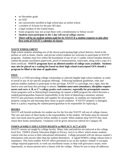- no December grads
- no GED
- not concurrently enrolled in high school plus an online school
- a resident of Arizona for the past 365 days
- a legal resident of the United States
- Some programs may not accept those with a misdemeanor or felony record
- *Students must participate in the 5 day roll-out of college courses*
- **There will be no student tuition paid for by NAVIT if a student requests to join after first week of NAVIT's calendar of classes.**

# **NAVIT ENROLLMENT**

High school students attending one of the eleven participating high school districts, listed in the preface as well as home, charter, and private school students are welcome to participate in NAVIT programs. Students must live within the boundaries of one of our 11 public school member districts submit the proper enrollment paperwork, proof of immunizations, transcripts, along with a copy of a birth certificate. **NAVIT programs have an allotted number of college seats available. Students may also be placed on a waiting list based on their high school transcripted GPA should a program be filled at the time of application.** 

# **FEES**

NAVIT is a CTED providing college scholarships to selected eligible high school students; in order, to enroll in any of our specific program offerings. Following handbook guidelines, rules and policies enables students to participate in this privilege. NAVIT is a privilege, not a right, thus the need to earn and keep this privilege is utmost. **Students must meet attendance, discipline requirements and earn A, B, or C's college grades each semester, especially for prerequisite courses**. Some programs such as Hairstyling/Cosmetology do require a \$400 program fee which becomes a student/parent/guardian financial responsibility in the form of depositing a monetary amount. NAVIT also purchases textbooks and supplies for all programs, so students are responsible for properly caring for and returning these items in good condition. If NAVIT property is damaged, there is a policy requiring the student/parent/guardian to be responsible for replacing it.

# **BOOKS**

NAVIT will furnish textbooks for student use for the five-day NAVIT roll-out of college classes. The care and return of these books is the responsibility of the student. All books must be returned and a lost book must be paid for before another is issued. When students drop NAVIT they must return their books immediately. Violations will be given infraction referral for Category III.

### **FERPA (FAMILY EDUCATION RIGHTS to PRIVACY ACT of 1974**

NAVIT courses are taught by college faculty. Many rules and policies are enforced at the college level first. FERPA (Family Education Rights to Privacy Act) is in effect; which means students control who has access to their educational information. College personnel will not discuss student's information with anyone other than the student themselves. A signed FERPA college release form is mandatory. This form enables NAVIT office personnel to act on the student's behalf: to navigate college required paperwork; to work out enrollment issues; to help with grievances issues; more importantly, to ensure parents have a liaison with the college. Please be sure to keep all addresses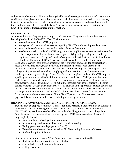and phone number current. This includes physical home addresses, post office box information, and email; as well as, phone numbers at home, work and cell. Two way communication is the best way to avoid misunderstandings. It helps tremendously in case of emergencies and providing prompt timely information. Please contact the NAVIT office anytime a change occurs, **it is imperative NAVIT has updated parent/guardian information.**

# **CAREER TECH**

A career tech is a job duty assigned to high school personnel. They act as a liaison between the home high school and the NAVIT office. Their duties are:

- to recruit students for NAVIT programs
- to disperse information and paperwork regarding NAVIT enrollment & provide updates
- to aid in the verification of reasons for student absences from NAVIT
- to submit properly completed NAVIT program student application paperwork: so it meets the college requirements for enrollment; transcripts, verifying college testing, and residency requirements are met. A copy of a student's original birth certificate, or certificate of Indian Blood, must be sent with NAVIT paperwork to be considered completed in its entirety.

High School Career Techs are responsible for the recruitment of students for consideration to receive NAVIT free college tuition waivers. Student must: comply with Career Tech instructions; attending informational meetings; fill out NAVIT program specific paperwork; college testing as needed; as well as, complying with the need for proper documentation of residency required by the college. Career Tech's submit completed packets of NAVIT program specific paperwork on behalf of their home high school students. NAVIT personnel reviews each student's paperwork and may reject it, if it is not properly completed. If all paperwork is satisfactorily completed then NAVIT will submit requests for high school students to become college students. College personnel enroll NAVIT students in the appropriate college courses for the specified semester of each NAVIT program. Once enrolled in the college, students are given a college identification number and a schedule of NAVIT/college courses for each semester. Each semester students are required to fill out NAVIT paperwork. First semester student paperwork is much more detailed than continuing semester paperwork.

# **DROPPING A NAVIT CLASS, SWITCHING, OR DROPPING A PROGRAM.**

Students may be dropped from NAVIT classes for many reasons. Paperwork must be submitted to the NAVIT office in writing documenting the reason. Typically this a Career Tech duty. NAVIT will request the drop on behalf of the student by filling out the proper college forms. Drop dates must be documented and received by the NAVIT attendance clerk. Reasons for drops typically include:

- Non-compliance of college testing requirements
- Instructor request-documented by email or starfish warning
- Failing grades/tests (college grade of D or F)
- Excessive attendance violation as well as No Show during first week of classes
- Student discipline violation

Students may be dropped from a NAVIT program, requests may be initiated by:

- Student (no drops allowed the week of finals)
- Career Tech/ High School Administrator
- College Instructor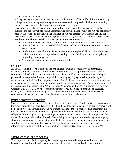• NAVIT personnel

All requests require documentation submitted to the NAVIT office. Official drops are done by college personnel once proper college forms are received, completely filled out documenting the necessary reason for the drop, and a withdrawal date is given.

Switching classes has the same procedure outlined above regarding paperwork properly submitted to the NAVIT office and accompanying documentation. Only the NAVIT office may request the college to officially make a change of NAVIT classes. Switches are usually done because of student attendance conflicts *(typically EMT104)* or a NAVIT/ college clerical error. **Students may choose to switch NAVIT programs ONLY ONCE.**

- Student will NOT have dropped or withdrawn from any previous NAVIT course.
- NAVIT does not customize schedules-five day roll-out enrollment is required. No testing out of courses.
- Student must meet all prerequisites of new program requested. If any prerequisites are lacking the students is responsible for paying for and finishing those courses prior to beginning a new program.
- The student may be put at the end of a waiting list.

# **SAFETY**

All NAVIT guidelines, rules and policies are developed with personal safety as paramount. Behavior contracts are NAVIT's first line of intervention. NAVIT programs have real world equipment and technology; meanwhile, safety accidents could occur. Student/witness/college personnel are responsible for reporting and documenting any injury in writing on the day of its occurrence and submitting it to the proper authorities. Incident reports must be reported regardless of the nature of the injury or how inconsequential the accident may appear. This report may be kept in the student's file located in the NAVIT office. Violations will be given infraction referrals for Category I, II, III, IV, V, or VI. *If medical attention is required, the student will be assessed, treated, and referred appropriately. Access to parent/guardian is imperative in an emergency situation, so please be sure NAVIT has the most updated phone information.*

# **EMERGENCY PROCEDURES**

State law requires all schools practice drills for fire and lock downs. Students will be instructed on the proper procedure for each type of drill. Should a college have an actual emergency, students will be notified typically through NPC RAVE system text. Be sure cell phone contact information is updated. Should an actual emergency require lock down or evacuation, please refrain from using cell phones for texting or calling, as emergency personnel will need the lines clear to perform their duties. Parents/guardians should refrain from driving or calling the location during an emergency situation. Even though it is unnerving to not be in the know at the actual moment, remain calm and wait for emergency personnel to give the all clear before responding to initial emergency information**.** Violations will be given infraction referrals for Category I, II, III, IV, V, or VI.

# **STUDENT DISCIPLINE POLICY**

The purpose of this discipline policy is to encourage students to be responsible for their own behavior and to allow all students the opportunity to learn in a safe and orderly environment.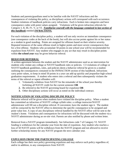Students and parents/guardians need to be familiar with the NAVIT infractions and the consequences of violating this policy, as disciplinary actions will correspond with each occurrence. Student violations of handbook policies carry infractions. Each is broken into categories and have consequence codes with point values assigned. Violations will be given infraction referrals for Category I, II, III, IV, V, or VI. *Familiarize yourself with the language contained in last section of this handbook* entitled *INFRACTIONS.*

For each violation of the discipline policy, a student will not only receive an immediate consequence (see consequence codes at the back of the book), but will also accrue points against his or her status as a student in good standing. Points are assigned for offenses based on their relative severity. Repeated instances of the same offense result in higher points and more severe consequences than for a first offense. Students who accumulate 50 points in one school year will be recommended for expulsion from NAVIT. Any student who engages in any act that may result in discipline points within **the school year** may be given behavior referral.

# **BEHAVIOR REFERRAL**

A written agreement between the student and the NAVIT administrator used as an intervention for students who violate any college or NAVIT handbook rules or policies. C3 violations of college or NAVIT handbook guidelines, rules, and policies deem a behavior referral be given to a student outlining the consequences contained in the INFRACTION section of this handbook. Infractions carry point values, so keep in mind 50 points in a year can add up quickly and jeopardize high school graduation requirements. A student who enters into a referral and then subsequently violates the terms of the referral or repeat offenders will:

- 1. Voluntarily withdraw from NAVIT for the remainder of the school year thereby forfeiting all NAVIT credit for the current semester **OR**
- **2.** Be referred to the NAVIT governing board for expulsion **OR**
- **3.** Other disciplinary actions will occur as noted on the individual contract.

# **NOTIFICATION OF VIOLATING DISCIPLINE POLICY**

Behavior referral will be given when students have violated the discipline policy. When a student has committed an infraction of NAVIT/ college syllabi rules: a college instructor/NAVIT administrator will fill out a discipline referral. If convenient, have the student sign it. The student will be contacted by the NAVIT office to determine the specific consequence to be assigned and point value lost. A copy of any disciplinary referral handled by the NAVIT office will be sent to the student's home. Violations and consequences for infractions will be discussed with the student via a NAVIT administrator during an on-site visit. Parents are also notified by phone and written letter.

Removal from a NAVIT program immediately. See Infractions code 7 of Category VI. NAVIT funding is withdrawn for the calendar year from the date of expulsion. Any student who reaches a loss of 50 NAVIT points will be withdrawn from the NAVIT program and not allowed to receive further scholarship money for any NAVIT program the next calendar year.

# **EXPULSION FROM THE PARTICIPATING COLLEGE**

Each college has their own policy governing expulsion and may enforce such policy regardless of, and/or in addition, to any consequences from NAVIT.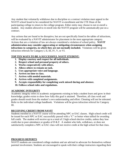Any student that voluntarily withdraws due to discipline or a contract violation must appeal to the NAVIT school board to be considered for NAVIT re-enrollment and the CTE Dean of the participating college to return to the college program. Either entity may choose to not re-enroll a student. Any student allowed to re-enroll into the NAVIT program will be automatically put on a contract.

Any actions that are found to be disruptive, but are not specifically listed in the tables of infractions, will be evaluated by a NAVIT administrator for placement in the most appropriate category. Actions that are a violation of law are always considered a violation of school policy. **NAVIT administration may consider aggravating or mitigating circumstances when assigning infractions to categories, in which they are not normally included.** Violations will be given infraction referrals for Category I, II, III, IV, V, or VI.

### **TOP TEN WAYS TO BE A SUCCESSFUL NAVIT STUDENT:**

- **1. Display courtesy and respect for all individuals.**
- **2. Respect school and personal property of others.**
- **3. Works cooperatively with others.**
- **4. Allows others to remain on task.**
- **5. Uses appropriate voice and language.**
- **6. Arrives on time to class.**
- **7. Arrives with needed materials.**
- **8. Arrives with completed assignments.**
- **9. Accepts responsibility for completing work missed during and absence.**
- **10. Follows school rules and regulations.**

# **ACADEMIC INTEGRITY**

Academic integrity refers to academic assignments existing to help a student learn and grow in their knowledge; grades exists to show how fully this goal is attained. Therefore, all class work and grades should result from the student's own understanding and effort. Cheating will not be tolerated. Refer to the individual college handbook. Violations will be given infraction referral for Category III.

### **RECEIVING CREDIT FROM NAVIT**

Students enrolled in a NAVIT course will be attending NPC or EAC classes. High school credit will be issued for each NPC or EAC successfully passed with a "C" or better when tallied for awarding full credit. The student will receive up to a total of 2 high school elective credits, unless they lose credit due to poor attendance or grades of  $D \& F$ . A student who fails, withdraws, or does not satisfactorily complete a NPC or EAC class will not receive credit at the high school for that class.

# **PROGRESS REPORTS**

NAVIT students are considered college students and are advised to advocate for themselves without parental involvement. Students are encouraged to speak with their college instructors regarding their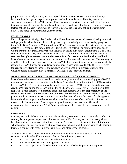progress for class work, projects, and active participation in course discussions that ultimately becomes their final grade. Again the importance of daily attendance will be a key factor in successful completion of NAVIT courses. Progress reports can viewed by the student logging into their college portal. Four weeks into the college semester colleges submit progress reports. Unsatisfactory college midterm reports will be relayed to parents via telephone call and/or email from NAVIT and noted in power school guidance notes.

# **FINAL GRADES**

Each college awards final grades. Students should use their user name and password to log onto their college portal to view their unofficial college transcript of credits/grade earned, as they progress through the NAVIT program. Withdrawal from NAVIT can have adverse effects toward high school elective CTE credit needed for graduation requirements. Parents will be notified by phone and in writing from the Program Director should a student be losing high school credit due to a D or F final college grade which may result in students losing NAVIT tuition for the next semester**. NAVIT reserves the right to revoke credit and/or free tuition for reasons outlined in this handbook.** Loss of credit also occurs when students have more than 7 absences in the semester. The best way to avoid loss of credit due to absences to call the NAVIT office when students are absent to provide the reason. The NAVIT sends out attendance notifications, makes phones calls, asks HS Career Techs for assistance verifying attendance, and contracts are given once a student reaches their fifth violation before the last month of a semester. LOC letters are sent certified mail.

# **APPEALING LOSS OF TUITION OR LOSS OF CREDIT (LOC) PROCEDURES**

Loss of credit due to attendance violations, student discipline violations, not meeting grade NAVIT requirements, or other policies outlined in the NAVIT handbook are not negotiable. LOC means the loss of NAVIT 2 CTE credits awarded back to the high school. NAVIT reserves the right to revoke credit and/or free tuition for reasons outlined in this handbook. Loss of NAVIT credit may in fact jeopardize a high students from meeting graduation requirements. **It is the responsibility of the student to schedule a time to discuss the situation with the NAVIT Administrator.** At least one parent/guardian, career techs/ HS administrator must be involved in the discussion for the appeal to be considered. An appeal must be requested no later than one week after notification of intent to revoke credit from a student.Students/parents/guardians may have to assume financial responsibility for remaining in a NAVIT program if an appeal is negotiated and agreed upon by all parties.

# **COURTESY**

One way to avoid a behavior contract is to always display common courtesy. An understanding of courtesy is an important step toward ultimate success in life. Courtesy at school, as everywhere, is based on kindness and consideration toward others. A student can easily acquire the habit of proper school conduct by knowing what constitutes acceptable behavior and then practicing this behavior in their daily contact with other students, instructors, and other school personnel.

A student's character is revealed by his or her daily interactions with an instructor and other students. A student should ask himself or herself the following questions:

- Do I show proper consideration toward my instructors?
- Is my behavior correct when among other students?
- Do I show proper regard for school property and use of school equipment & supplies?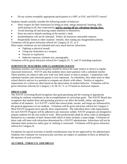• Do my actions exemplify appropriate participation in a NPC or EAC and NAVIT course?

Students should carefully consider the following modes of behavior:

- Show respect for their instructors by being on time, sitting attentively listening, fully participating in all class expectations **and by staying off my cell phone during class.**
- Avoid showing off and drawing undue attention to themselves.
- Does not read or disturb anything on the teacher's desk.
- Insubordination will not be tolerated. Follow all instructor reasonable requests.
- Respectfully listens to other students' remarks, then stating any disagreement politely. Violations will be given infraction referral for Category II, IV, or V.

More major violations are not tolerated and carry much heavier infractions:

- Fighting or physical assault
- Using any instrument as a weapon
- Firearm or explosives
- Indecent exposure, intimate acts, pornography

Violations will be given infraction referral for Category IV, V, and VI including expulsion.

# **SUBSTITUTE TEACHERS AND CLASSROOM GUESTS**

Substitute teachers and classroom guests should be shown the same respect as shown to regular classroom instructors. NAVIT asks that students show more patience with a substitute teacher. These teachers are asked to take over with very little notice or time to prepare. Cooperation with substitute teachers and classroom guests is very important. As substitutes, they often teach in other school districts and are in a position to compare our district with others. Positive or negative impressions of a school are often based on the observation of student behavior. Violations will be given infraction referrals for Category I, II, III, IV, V, or VI based on instructor requests.

### **DRESS CODE**

The NAVIT Governing Board recognizes that good grooming and the wearing of appropriate clothing by students contributes to the accomplishment of curriculum goals. The NAVIT Board also recognizes that student dress and grooming practices can affect the health, safety, and general welfare of all students. It is NAVIT's belief that school pride, morale, and image are influenced by the general appearance of our students. Violations will be given infraction referral for Category I. Most NAVIT programs have specific dress requirements. The individual dress code requirements for each NAVIT Program will be adhered to per instructor syllabi. NAVIT programs are designed to prepare students for the real world of work. Most professionals abide by dress codes to distinguish themselves as a member of their chosen field which at times includes a name badge. Violations of dress code will meet with infractions determined by a NAVIT administrator. Infractions will not be tolerated where protective safety gear or clothing is concerned. Violations will be given infraction referral for Category II.

Exceptions for special activities or health considerations may be pre-approved by the administrator. Students who volunteer for extracurricular activities are subject to standards of dress as defined by the sponsors of such activities.

# **ALCOHOL, TOBACCO, AND DRUGS**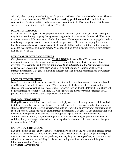Alcohol, tobacco, e-cigarettes/vaping, and drugs are considered to be controlled substances. The use or possession of these items at NAVIT locations is **strictly prohibited** and will result in their confiscation. This is in addition to the consequences outlined in the Discipline Policy. Violations will be given infraction referral for Category V or VI.

# **PROPERTY DAMAGE**

No student shall damage or deface property belonging to NAVIT, the college, or others. Discipline may be imposed for any property damage depending on the circumstances. Students shall be subject to suspension for willful destruction of school property. Under aged students who engage in conduct that damages property need to be aware formal charges may be filed with the appropriate court of law. Parents/guardians will become accountable to make full or partial restitution for the property damaged in accordance with court orders. Violations will be given infraction referrals for Category I, II, III, IV, V, or VI.

# **PERSONAL ELECTRONIC DEVICES**

Cell phones and other electronic devices **SHALL NOT** be in use in NAVIT classrooms unless momentarily authorized. In this day and age it is recognized that these devices are part of our everyday lives. With that said, they are *not allowed to be a disruption to the learning environment of any NAVIT classroom.* These items are subject to confiscation. Violations will be given infraction referral for Category II; including indecent material distribution; infractions are Category V, and police notified.

# **LOST OR STOLEN ITEMS**

NAVIT is not responsible for any personal item lost or stolen on school grounds. Students should avoid bringing valuable items to school. Where appropriate, lockers have been provided for students' use in safeguarding their possessions. However, theft will not be tolerated. Violations will be given infraction referral for Category III. College rules are more severe and supersede NAVIT's policies-automatic and consecutive expulsions could occur.

### **HAZING/ HARASSMENT**

Hazing/Harassment is defined as verbal, non-verbal, physical, sexual, or any other possible method that demeans another person. No student has the right to negatively impact the education of another student. Harassment or perceived harassment should be reported to an instructor or administrator as soon as possible. Violations will be given infraction referral for Category IV. The administration will investigate the reported allegation and take appropriate steps to prevent further occurrence. Administrative action may vary depending upon circumstance, severity, or previous incidents. In addition, this type of negative behavior is not acceptable. Violations could result in class change or termination from NAVIT.

# **EARLY CLASS DISMISSAL**

Due to the nature of college level courses, students may be periodically released from classes earlier than the scheduled release time. Students are expected to stay on the assigned campus until regular dismissal time. In the event of an early release, NAVIT, the participating college, and the home high school, do not assume responsibility for the student during that time. Violations will be given infraction referral for Category II.

### **LEAVING NAVIT CLASS**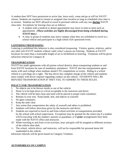A student does NOT have permission to arrive late, leave early, come and go at will for NAVIT classes. Students are required to remain at assigned class location as long as scheduled class time is in session. Students are NOT allowed to travel in personal vehicles with any one **during** NAVIT class time. Exceptions for leaving class are as follows:

- A student with a medical or dental appointment may leave in time to meet such an appointment. *(These activities are highly discouraged from being scheduled during NAVIT time.)*
- A class or group of students may leave campus when they are scheduled to travel in a school vehicle and participate in a high school AIA-sponsored event.

# **LOITERING/TRESPASSING**

Loitering is prohibited this behavior is also considered trespassing. Visitors, guests, relatives, and/or any other non-NAVIT students without valid visitor's passes are loitering. Students at NAVIT locations for more than a reasonable length of are to be/defined as loitering. Violations will be given infraction referral for Category II.

# **TRANSPORTATION**

NAVIT has made agreements with all partner school districts about transporting students to and from NAVIT locations for ease of mandatory attendance. NAVIT also has transportation agreements with each college when students attend CTE competitions or events. Riding in a school vehicle is a privilege not a right. The bus driver has complete charge of the vehicle and students must comply with driver requests regarding conduct on the vehicle. STUDENTS WILL BE REFUSED TRANSPORTATION IF THEY FAIL TO ADHERE TO THESE RULES.

# **POLICY FOR TRANSPORTATION**

- 1. No objects are to be thrown inside or out of the vehicle.
- 2. Noise is to be kept down to a level acceptable to the instructor and driver.
- 3. The vehicle will be kept clean and trash will be placed in proper trash containers.
- 4. Remain in your seat. Keep hands, feet, and objects to yourself.
- 5. No glass containers.
- 6. Keep the aisle clear.
- 7. Any action that compromises the safety of yourself and others is prohibited.
- 8. Students will follow directions given by the instructor and driver.
- 9. Students are expected to travel to and from school activities in transportation provided by the school with school supervision. Exceptions may be granted for the return trip if a student will be traveling with the student's parents or guardians, or if **prior** arrangements have been made with the NAVIT office and instructor.
- 10. While traveling to and from co-ed activities, boys and girls will be assigned to different sections of the vehicle after dark.
- 11. The school, vehicle driver, and instructor, will not be responsible for personal items left unattended in the vehicle.

Infraction referrals will be given based on Category Violation.

# **AUTOMOBILES ON CAMPUS**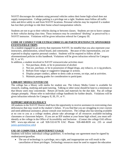NAVIT discourages the students using personal vehicles unless their home high school does not supply transportation. College parking is a privilege not a right. Students must follow all traffic rules and drive safely to and from NAVIT locations. Personal vehicles may be required if a student has lost their privilege to ride their home school transportation vehicle.

Students are not to go to their vehicles during or between classes. Students are not to leave campus in their vehicles during class time. These instances may be considered "ditching" as perceived by a NAVIT instructor. Violations will be given infraction referral for Category III.

# **CODE OF CONDUCT FOR EXTRACURRICULAR PARTICIPATION/CTE SPONSORED EVENTS/FIELD TRIPS**

As a student engaged in an activity that represents NAVIT, be mindful that you also represent your instructors, administration, school board, and community. Because of this representation, you are expected to display superior personal conduct. Students will be required to follow all the aforementioned policies in this handbook. Violations will be given infraction referral for Category III, V, or VI.

In addition, a student involved in NAVIT extracurricular activities must:

- 1. Not purchase, drink, or be in possession of alcohol.
- 2. Not use, purchase, or be in possession of illegal drugs, any tobacco, or e-cig products.
- 3. Refrain from vulgar or suggestive language or actions.
- 4. Display proper conduct, adhere to dress code at events, on trips, and at activities.
- 5. Maintain passing grades for consideration to participate.

# **LIBRARY MEDIA CENTER USE**

The college has a library with media for student use. The Library Media Center is available for research, reading, studying and quiet tutoring. Talking or other noise should be kept to a minimum so that library users may concentrate. Return all books and materials by the due date. Pay all college charges promptly. Please refer to individual college handbook for further details. Violations will be given infraction referrals for Category II, III, IV, or V.

### **SUPPORT SERVICES POLICY**

All students in the NAVIT District shall have the opportunity to receive assistance in overcoming class deficiencies that may result in the student's failure. If you find that you are struggling in your courses and need additional assistance, please consult your instructors. The college also has tutoring available at no cost to you as a college student, please take advantage of all resources available-including classmates or classroom helpers. If you are an IEP student at your home high school, you must selfidentify at the college in the Office of Accessibility and Inclusion . (Contact the college OAI offices: NPC www.npc.edu/oai or call 928-532-6178 EAC Phone- 928-468-8039 ext. 235 or email [james.quinlan@eac.edu\)](mailto:james.quinlan@eac.edu)

### **USE OF COMPUTER LAB/INTERNET USAGE**

Students will follow individual college guidelines. A technology use agreement must be signed by student/parent/guardian.

The use of technology is a privilege, not a right, and inappropriate use will result in the cancellation of those privileges. Technology resources must be used to support the education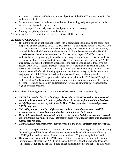and research consistent with the educational objectives of the NAVIT program in which the student is enrolled.

- Students are expected to abide by outlined rules of technology etiquette spelled out in the user agreement provided by the college.
- Users must practice security measures and proper care of technology.
- Abusing this privilege is not acceptable behavior.

Violations will be given infraction referrals for Category II, III, IV, or V.

# **ATTENDANCE POLICY**

The right to attend a public school carries with is certain responsibilities on the part of both the parents and the students. NAVIT is a CTED that is a privilege to attend. Consistent with state law, the NAVIT District holds to the philosophy that parents/guardians are primarily responsible for their children's attendance at school. **State law mandates that NAVIT record a reason for all student absences.** Parents cannot expect NAVIT to educate students that are not physically in attendance. It is very important that parents and students recognize the direct relationship that exists between academic success and regular NAVIT attendance. The benefit of lectures, discussions, and participation is lost to those who are absent. Daily NAVIT lessons introduce, practice career techniques, & technical skills, so missing class can cause critical learning gaps. NAVIT is designed to help students transition into the real world of work. Showing up for work on time and every day is the best way to keep a job and build skills such as reliability, trustworthiness, collaboration and professionalism. NAVIT programs strive to include teaching all CTE Arizona Workplace Professionalism Skills: complex communication, thinking and innovation, initiative and selfdirection, tolerance, adaptability, collaboration, professionalism, financial responsibility, legal and ethical practices.

Students who make arrangements to transport themselves need to strive to attend daily.

- *NAVIT is in session for 180 school days, please refer to NAVIT calendar. It is expected that all students attend each and every day of class from the beginning of the school year*
- *in July/August to the last day scheduled in May. This expectation is required for every NAVIT program.*
- *Hairstyling students may have different start and end dates, than the other NAVIT programs due to AZ state board mandated accumulation of clock hours.*
- *Medical Assistant students must attend intercession dates scheduled in December, even if they are dropping spring semester. Intercession dates for mandatory class time attendance extends into January.*
- *Certified Nursing students are the only exception to the end of semester attendance rules.*

\*\*\*\*\*Please keep in mind that certain CTE Programs such as Nursing Assistant, Hairstyling/ Cosmetology, and Fire Science have more stringent attendance policies than outlined by NAVIT policy handbook rules. Please refer to student NPC program syllabi for details.

➢ There is a misconception that NAVIT is not real-time. Understand that the State Board of Education sees attendance at NAVIT in the same light, as regular high school attendance. All schools are funded by the State Board of Education and required to adhere to their rules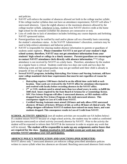and policies.

- ➢ NAVIT will enforce the number of absences allowed set forth in the college teacher syllabi. If the college teacher syllabus does not have an attendance requirement, NAVIT will allow 7 unexcused absences. Upon the eighth absence or the maximum absences allowed by the college teacher syllabi, whichever is less, students lose NAVIT elective credit at the home high school for the semester (whether the absences are consecutive or not).
- $\triangleright$  Loss of credit due to lack of attendance includes forfeiting any course deposits and forfeiting NAVIT sponsored tuition.
- $\triangleright$  Parent/guardians may be notified by mail and/or phone call on a biweekly basis concerning the student's attendance status. At the NAVIT Administrator's discretion, contracts may be used to help enforce attendance and behavior policies.
- ➢ NAVIT is responsible for relaying student absence information to parents or guardians of students under eighteen. **Please remember NAVIT is not part of your student's high school system; therefore, NAVIT may not get attendance information from your students' high school or college in a timely manner. Parents/guardians are encouraged to contact NAVIT attendance clerk directly with absence information.**\*\*\*College attendance is not received by NAVIT on a daily basis. Therefore, attendance by the student on a regular basis is critical. Students could miss two days one week and two days the following week and the parent/guardian may not get notified until their child is already in jeopardy of loss of high school credit.
- ➢ **Several NAVIT programs, including Hairstyling, Fire Science and Nursing Assistant, still have state/ college mandated clock-hour requirements that must be met regardless of reason for absence.**
	- o **Hairstyling requires 1100 hours clocked in on the official time cards held at each location. Time cards are reviewed by the NAVIT office for attendance discrepancies and resolved with faculty before recording absences in the NAVIT office.**
	- o **2 nd yr COS. students need to attend more than two school years; in order, to fulfill the 1600 clock hours required by the State Board of Arizona for a Cosmetology license.**
	- o **NPC Fire Science Program will allow 5 unexcused absences, so FRS students will be dropped from the Fire Science Program at the sixth unexcused absence. This consequence ripples to Loss of Credit from NAVIT.**
	- o **Certified Nursing Assistants must attend 120 hours and only allows ONE unexcused absences: 40 hours of lecture; 40 hours of lab; as well as 40 hours of clinical work. The college designee will inform NAVIT if students have missed too many hours, and want students dropped. This consequence results in Loss of Credit from NAVIT.**

**SCHOOL ACTIVITY ABSENCE** (not all student activities are excusable-see SA bullets below) If a student misses NAVIT because of a high school activity, the student may be coded as confirmed (yet remains unexcused) or school activity (excused) absence by NAVIT. Prior to the activity the student will be expected to inform their NAVIT & the instructor in order to acquire any work that will be missed**. The student will be responsible to make up any assignments and/or hours that are required for the class.** *Students involved in AIA multiple events per week may need to prioritize NAVIT attendance over AIA participation.*

# **ABSENCE POLICY NOTIFICATION AND SANCTIONS (PER SEMESTER)**

NAVIT allows only 7 unexcused absences yet enforces college prescribed attendance policies written in course syllabi when less absences are dictated. Reaching unexcused absences limit results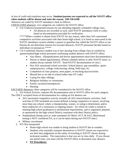in loss of credit and expulsion may occur. **Students/parents are expected to call the NAVIT office when students will be absent and state the reason. 928-536-6100.** 

Absences are coded by NAVIT attendance clerk as follows:

UNEXCUSED absences- two categories are coded by the NAVIT office:

- ➢ UA=Unknown/unreported reasons for not attending regularly scheduled college class.
	- All absences are recorded as such, until NAVIT attendance clerk re-codes based on documentation provided for verification.

\*\*\*\*\*When a student is absent from NAVIT for any reason, other than AIA sanctioned competitive activities associated with their home high school, it is listed as unexcused in the NAVIT attendance system whether a parent or guardian has called the NAVIT office or not. Parents do not determine reasons for excused absences, NAVIT personnel decides based on individual circumstances.\*\*\*\*\*

- $\triangleright$  CA=Confirmed Absence-student was in fact missing from college class as verified by parent/student/high school personnel confirming student absence with NAVIT office:
	- Any illness. (Hospitalization and doctor appointments must have documentation.)
	- Doctor or dental appointments. (Please schedule before or after NAVIT times, so student always attends NAVIT. Send NAVIT documentation of visit.)
	- Non AIA sanctioned school activities: School dances, pep assemblies, sports camps/practice, college visits/touring, skiing, field trips, etc.
	- Completion of class projects, term papers, re-teaching days/activities.
	- Missed bus or no ride to school (other than NT code).
	- Caring for other siblings.
	- Religious holidays or ceremonies.
	- Family vacations/emergencies.
	- Hunting.

EXCUSED Absences- three categories will be considered by the NAVIT office:

1. SA=School Activity: requires HS documentation sent to NAVIT office for each category. The ONLY accepted forms of documentation for coding an SA absence are:

- AIA sanctioned competitive activity includes all AIA interscholastic activities. Said activities (CTSO included) are events defined as being competitive in nature: involving more than one school; where a championship, winner, or rating is determined, and/or those endeavors of a continuous or ongoing nature-- for which no credit is earned in meeting high school graduation or promotional requirements, and is organized, planned, or sponsored by the high school District consistent with their District policy.
- Standardized testing such as: state mandated AZ Merit; ACT; & SAT; (Benchmark testing is NOT considered SA, as it can be taken during non-NAVIT time.)
- Military recruitment
- 2. NT=Not transported
	- Home high school was unable to bring student to NAVIT due to weather.
	- Students who normally transport themselves to NAVIT classes are expected to use their best judgement on the safety of traveling to NAVIT classes during inclement weather. The expectation is that you are in class daily. If you choose not attend class, you must call the NAVIT office to document your absence.
	- **NT Procedures:**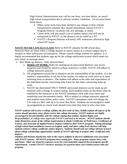High School Administration may call for one hour, two hour delays, or cancel high school transportation due to adverse weather conditions. On occasion buses break down.

- ➢ When career techs have been alerted to any change in their schools transportation schedule they should immediately inform NAVIT's Program Director via phone call, text message, or email.
- ➢ Career techs will also email a list of student names who will not be transported to NAVIT, so the absence can be coded as a NT.
- ➢ NAVIT's Program Director will notify NPC instructors affected by high school NT issues.

# **NAVIT NEVER CANCELS CLASS!** Refer to NAVIT calendar for180 school days.

However there are times when a college decides to cancel classes at a certain campus due to weather or other unforeseen circumstances. Please consult college website for updates. It is highly recommended that students sign up for the college notification system which sends out text, email, or message alerts.

- 3. MA=Made up absence. Only allowed three!
	- a. **MAKE-UP WORK:** Rules for making-up an unexcused absences vary across programs and should be stated in college instructor's syllabi. NAVIT will adhere to college instructor policies.
	- b. All assignments missed due to absences are the responsibility of the student. It is the student's responsibility to ask his or her teacher for make-up work, prior to or upon returning from an absence. The student will adhere to the rules and expectations of the individual teacher concerning time frame for due dates concerning make up work.
	- c. NAVIT has determined ONLY THREE unexcused absences can be made up per semester with a change to system coding. Each students make up day/hours must be emailed by the instructor to the NAVIT attendance clerk with exact times and month/day/year documented clearly. MA is subject to college instructor approval and students must follow policy rules. NAVIT's attendance clerk will change the UA code to a MA code up to no more than three. Students are encouraged to make up assignments or course work missed every time they have to miss class time.

*NAVIT students will receive a college syllabus the first week of class. Syllabi explain all aspects of the course should questions arise, please review this college document. NAVIT students are highly encouraged to become familiar with the college catalog that outlines Student Rights and Responsibilities, as college rules supersede NAVIT's and tend to be stricter. NAVIT students should make themselves aware of the college requirements to obtain Certificates of Proficiency, Certificates of Science, and Associate of Applied Science Degrees related to their NAVIT program. Taking advantage of high school dual enrollment courses in English, math, and other colleg level electives will help students achieve college certificates and/or degrees. Students should seek out college advisors to learn about college scholarships opportunities outside of NAVIT offerings to acquire other certificates and degrees.*

*Students and Parents should also refer to the course syllabus to discover additional costs associated with NAVIT courses. All NAVIT programs have testing fees. Many programs require dress code purchases. Other out of pocket expenses occur for extra materials required due to program specific requirements. Contact NAVIT's business manager for payment plans and reimbursement rules per program.*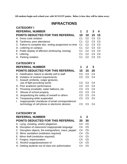**All students begin each school year with 50 NAVIT points. Below is how they will be taken away:**

# **INFRACTIONS**

| <b>CATEGORY I</b>                                                                        |                                  |                                  |                                  |                |
|------------------------------------------------------------------------------------------|----------------------------------|----------------------------------|----------------------------------|----------------|
| <b>REFERRAL NUMBER</b>                                                                   | 1                                | $\mathbf{2}$                     | 3                                | 4              |
| POINTS DEDUCTED FOR THIS REFERRAL                                                        | 10                               | 10                               | 15                               | 15             |
| A. Dress code violation                                                                  | C <sub>1</sub>                   | C <sub>2</sub>                   | C <sub>3</sub>                   | C <sub>3</sub> |
| B. Tardiness; poor attendance                                                            | C <sub>1</sub>                   | C <sub>2</sub>                   | C <sub>3</sub>                   | C <sub>3</sub> |
| C. Failure to complete disc. writing assignment on time                                  | C <sub>1</sub>                   | C <sub>2</sub>                   | C <sub>3</sub>                   | C <sub>3</sub> |
| D. Loitering on campus                                                                   | C <sub>1</sub>                   | C <sub>2</sub>                   | C <sub>3</sub>                   | C <sub>3</sub> |
| E. Public display of affection (embracing, kissing)                                      | C <sub>1</sub>                   | C <sub>2</sub>                   | C <sub>3</sub>                   | C <sub>3</sub> |
| F. Littering                                                                             | C <sub>1</sub>                   | C <sub>2</sub>                   | C <sub>3</sub>                   | C <sub>3</sub> |
| G. Parking violation                                                                     | C <sub>1</sub>                   | C <sub>2</sub>                   | C <sub>3</sub>                   | C <sub>3</sub> |
| <b>CATEGORY II</b>                                                                       |                                  |                                  |                                  |                |
| <b>REFERRAL NUMBER</b>                                                                   | 1                                | $\mathbf{2}$                     | 3                                |                |
| <b>POINTS DEDUCTED FOR THIS REFERRAL</b>                                                 | 15                               | 15                               | 20                               |                |
| A. Falsification; failure to identify self to staff                                      | C <sub>3</sub>                   | C <sub>3</sub>                   | C <sub>4</sub>                   |                |
| B. Violation of contract requirements                                                    | C <sub>3</sub>                   | C <sub>3</sub>                   | C <sub>4</sub>                   |                |
| C. Assault: profanity, vulgar gestures,                                                  |                                  |                                  |                                  |                |
| use of fight provoking words                                                             | C <sub>3</sub>                   | C <sub>3</sub>                   | C <sub>4</sub>                   |                |
| D. Poor academic performance                                                             | C <sub>3</sub>                   | C <sub>3</sub>                   | C <sub>4</sub>                   |                |
| E. Throwing snowballs, water balloons, etc.                                              | C <sub>3</sub>                   | C <sub>3</sub>                   | C <sub>4</sub>                   |                |
| Misuse of school property<br>F.                                                          | C <sub>3</sub>                   | C <sub>3</sub>                   | C <sub>4</sub>                   |                |
| G. Jeopardizing the safety of oneself or others                                          | C <sub>3</sub><br>C <sub>3</sub> | C <sub>3</sub><br>C <sub>3</sub> | C <sub>4</sub><br>C <sub>4</sub> |                |
| H. Trespassing while suspended<br>Inappropriate Use/abuse of email correspondence/<br>L. |                                  |                                  |                                  |                |
| technology of cell phone or electronic devices                                           | C <sub>3</sub>                   | C <sub>3</sub>                   | C <sub>4</sub>                   |                |
|                                                                                          |                                  |                                  |                                  |                |
| <b>CATEGORY III</b>                                                                      |                                  |                                  |                                  |                |
| <b>REFERRAL NUMBER</b>                                                                   | 1                                | $\mathbf 2$                      |                                  |                |
| <b>POINTS DEDUCTED FOR THIS REFERRAL</b>                                                 | 20                               | 30                               |                                  |                |
| A. Lying, cheating, and/or plagiarism                                                    | C <sub>4</sub>                   | C <sub>5</sub>                   |                                  |                |
| B. Disruption of classroom/inappropriate language                                        | C <sub>4</sub>                   | C <sub>5</sub>                   |                                  |                |
| C. Disruptive objects, fire extinguishers, mace, pepper                                  | C <sub>4</sub>                   | C <sub>5</sub>                   |                                  |                |
| D. Minor vandalism (restitution required)                                                | C <sub>4</sub>                   | C <sub>5</sub>                   |                                  |                |
| E. Minor theft (restitution required)                                                    | C <sub>4</sub>                   | C <sub>5</sub>                   |                                  |                |
| F. Forgery, impersonation                                                                | C <sub>4</sub>                   | C <sub>5</sub>                   |                                  |                |
| G. Alcohol usage/possession of                                                           | C <sub>4</sub>                   | C <sub>5</sub>                   |                                  |                |
| H. Getting students out of class w/o authorization                                       | C <sub>4</sub>                   | C <sub>5</sub>                   |                                  |                |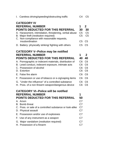|    | I. Careless driving/speeding/obstructing traffic                                  | C <sub>4</sub>                   | C <sub>5</sub>                   |
|----|-----------------------------------------------------------------------------------|----------------------------------|----------------------------------|
|    | <b>CATEGORY IV</b>                                                                |                                  |                                  |
|    | <b>REFERRAL NUMBER</b>                                                            | 1                                | $\mathbf{2}$                     |
|    | <b>POINTS DEDUCTED FOR THIS REFERRAL</b>                                          | 30                               | 30                               |
|    | A. Harassment, intimidation, threatening, verbal abuse                            | C <sub>5</sub><br>C <sub>5</sub> | C <sub>5</sub><br>C <sub>5</sub> |
| В. | Major theft (restitution required)<br>C. Non-compliance with reasonable requests, |                                  |                                  |
|    | insubordination                                                                   | C <sub>5</sub>                   | C <sub>5</sub>                   |
|    | D. Battery: physically striking/ fighting with others                             | C <sub>5</sub>                   | C <sub>5</sub>                   |
|    | <b>CATEGORY V--Police may be notified</b>                                         |                                  |                                  |
|    | <b>REFERRAL NUMBER</b>                                                            | 1                                | $\mathbf{2}$                     |
|    | <b>POINTS DEDUCTED FOR THIS REFERRAL</b>                                          | 40                               | 40                               |
|    | A. Pornographic or indecent materials, distribution of                            | C <sub>6</sub>                   | C <sub>6</sub>                   |
|    | B. Lewd conduct, indecent exposure, intimate acts                                 | C <sub>6</sub>                   | C <sub>6</sub>                   |
|    | C. Possession of alcohol                                                          | C <sub>6</sub>                   | C <sub>6</sub>                   |
|    | D. Extortion                                                                      | C <sub>6</sub>                   | C <sub>6</sub>                   |
|    | E. False fire alarm                                                               | C <sub>6</sub>                   | C <sub>6</sub>                   |
|    | F. Possession or use of tobacco or e-cig/vaping items                             | C <sub>6</sub>                   | C <sub>6</sub>                   |
|    | G. "Under the influence" of a controlled substance                                | C <sub>6</sub>                   | C <sub>6</sub>                   |
|    | H. Poss. of a non-firearm weapon/dangerous device                                 | C <sub>6</sub>                   | C <sub>6</sub>                   |
|    | <b>CATEGORY VI--Police will be notified</b>                                       |                                  |                                  |
|    | <b>REFERRAL NUMBER</b>                                                            | 1                                |                                  |
|    | <b>POINTS DEDUCTED FOR THIS REFERRAL</b>                                          | 50                               |                                  |
|    | A. Arson                                                                          | C <sub>7</sub>                   |                                  |
|    | B. Bomb threat                                                                    | C7                               |                                  |
|    | C. Poss. or sale of a controlled substance or look-alike                          | C <sub>7</sub>                   |                                  |
|    | D. Physical assault                                                               | C7                               |                                  |
|    | E. Possession and/or use of explosives                                            | C7                               |                                  |
|    | F. Use of any instrument as a weapon                                              | C <sub>7</sub>                   |                                  |
|    | G. Major vandalism (restitution required)                                         | C7                               |                                  |
|    | H. Possession of a firearm                                                        | C7                               |                                  |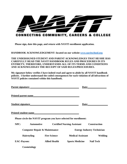

**Please sign, date this page, and return with NAVIT enrollment application.**

**HANDBOOK ACKNOWLEDGEMENT: located on our website [www.navitschool.org](http://www.navitschool.org/)**

**THE UNDERSIGNED STUDENT AND PARENT ACKNOWLEDGES THAT HE/SHE HAS CAREFULLY READ THE NAVIT HANDBOOK RULES AND PROCEDURES IN ITS ENTIRETY; THEREFORE, UNDERSTANDS ALL OF ITS TERMS AND CONDITIONS AND ACKNOWLEDGES THE RECEIPT OF SAID RULES/PROCEDURES.**

**My signature below verifies I have indeed read and agree to abide by all NAVIT handbook policies. I further understand the coded consequences for each violation of all infractions of NAVIT policies contained within this handbook.** 

| <b>Parent signature:</b>                                        |                    |                                                                   |                          | Date: |                                   |
|-----------------------------------------------------------------|--------------------|-------------------------------------------------------------------|--------------------------|-------|-----------------------------------|
| <b>Printed parent name</b>                                      |                    |                                                                   |                          |       |                                   |
| <b>Student signature</b>                                        |                    |                                                                   |                          | Date: |                                   |
| <b>Printed student name</b>                                     |                    |                                                                   |                          |       |                                   |
|                                                                 |                    | Please circle the NAVIT program you have selected for enrollment: |                          |       |                                   |
| NPC:<br><b>Automotive</b><br><b>Certified Nursing Assistant</b> |                    |                                                                   |                          |       | <b>Construction</b>               |
| <b>Computer Repair &amp; Maintenance</b>                        |                    |                                                                   |                          |       | <b>Energy Industry Technician</b> |
|                                                                 | <b>Hairstyling</b> | <b>Fire Science</b>                                               | <b>Medical Assistant</b> |       | Welding                           |
| <b>EAC-Payson:</b>                                              |                    | <b>Allied Health</b>                                              | <b>Sports Medicine</b>   |       | <b>Nail Tech</b>                  |
|                                                                 | Cosmetology        |                                                                   |                          |       |                                   |